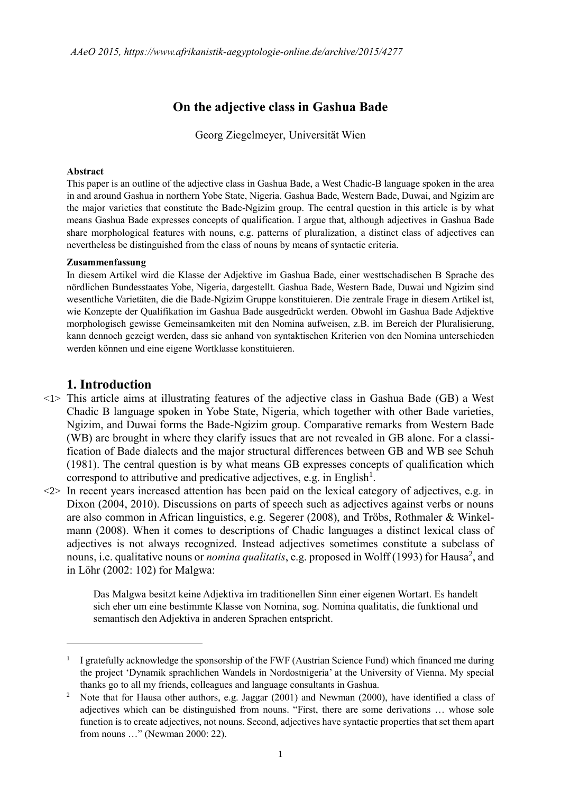# **On the adjective class in Gashua Bade**

Georg Ziegelmeyer, Universität Wien

### **Abstract**

This paper is an outline of the adjective class in Gashua Bade, a West Chadic-B language spoken in the area in and around Gashua in northern Yobe State, Nigeria. Gashua Bade, Western Bade, Duwai, and Ngizim are the major varieties that constitute the Bade-Ngizim group. The central question in this article is by what means Gashua Bade expresses concepts of qualification. I argue that, although adjectives in Gashua Bade share morphological features with nouns, e.g. patterns of pluralization, a distinct class of adjectives can nevertheless be distinguished from the class of nouns by means of syntactic criteria.

### **Zusammenfassung**

In diesem Artikel wird die Klasse der Adjektive im Gashua Bade, einer westtschadischen B Sprache des nördlichen Bundesstaates Yobe, Nigeria, dargestellt. Gashua Bade, Western Bade, Duwai und Ngizim sind wesentliche Varietäten, die die Bade-Ngizim Gruppe konstituieren. Die zentrale Frage in diesem Artikel ist, wie Konzepte der Qualifikation im Gashua Bade ausgedrückt werden. Obwohl im Gashua Bade Adjektive morphologisch gewisse Gemeinsamkeiten mit den Nomina aufweisen, z.B. im Bereich der Pluralisierung, kann dennoch gezeigt werden, dass sie anhand von syntaktischen Kriterien von den Nomina unterschieden werden können und eine eigene Wortklasse konstituieren.

## **1. Introduction**

1

- <1> This article aims at illustrating features of the adjective class in Gashua Bade (GB) a West Chadic B language spoken in Yobe State, Nigeria, which together with other Bade varieties, Ngizim, and Duwai forms the Bade-Ngizim group. Comparative remarks from Western Bade (WB) are brought in where they clarify issues that are not revealed in GB alone. For a classification of Bade dialects and the major structural differences between GB and WB see Schuh (1981). The central question is by what means GB expresses concepts of qualification which correspond to attributive and predicative adjectives, e.g. in English<sup>1</sup>.
- $\langle 2 \rangle$  In recent years increased attention has been paid on the lexical category of adjectives, e.g. in Dixon (2004, 2010). Discussions on parts of speech such as adjectives against verbs or nouns are also common in African linguistics, e.g. Segerer (2008), and Tröbs, Rothmaler & Winkelmann (2008). When it comes to descriptions of Chadic languages a distinct lexical class of adjectives is not always recognized. Instead adjectives sometimes constitute a subclass of nouns, i.e. qualitative nouns or *nomina qualitatis*, e.g. proposed in Wolff (1993) for Hausa<sup>2</sup>, and in Löhr (2002: 102) for Malgwa:

Das Malgwa besitzt keine Adjektiva im traditionellen Sinn einer eigenen Wortart. Es handelt sich eher um eine bestimmte Klasse von Nomina, sog. Nomina qualitatis, die funktional und semantisch den Adjektiva in anderen Sprachen entspricht.

<sup>&</sup>lt;sup>1</sup> I gratefully acknowledge the sponsorship of the FWF (Austrian Science Fund) which financed me during the project 'Dynamik sprachlichen Wandels in Nordostnigeria' at the University of Vienna. My special thanks go to all my friends, colleagues and language consultants in Gashua.

<sup>&</sup>lt;sup>2</sup> Note that for Hausa other authors, e.g. Jaggar (2001) and Newman (2000), have identified a class of adjectives which can be distinguished from nouns. "First, there are some derivations … whose sole function is to create adjectives, not nouns. Second, adjectives have syntactic properties that set them apart from nouns …" (Newman 2000: 22).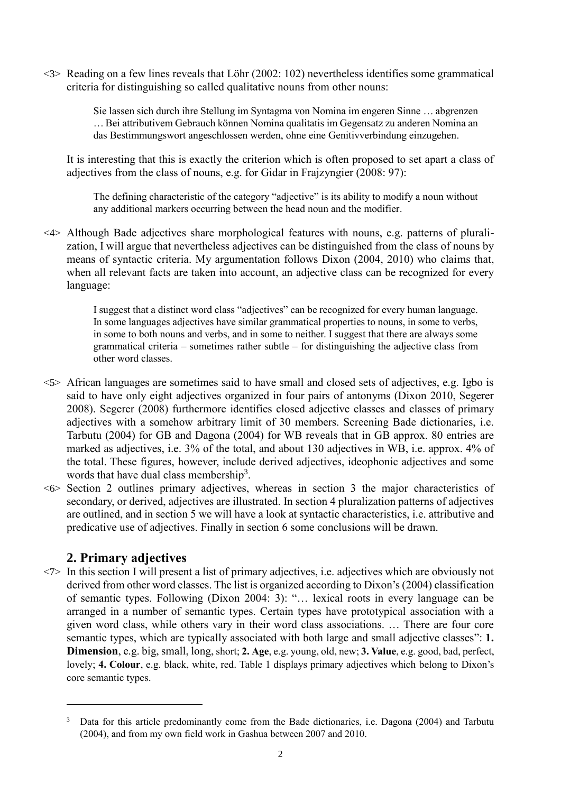<3> Reading on a few lines reveals that Löhr (2002: 102) nevertheless identifies some grammatical criteria for distinguishing so called qualitative nouns from other nouns:

> Sie lassen sich durch ihre Stellung im Syntagma von Nomina im engeren Sinne … abgrenzen … Bei attributivem Gebrauch können Nomina qualitatis im Gegensatz zu anderen Nomina an das Bestimmungswort angeschlossen werden, ohne eine Genitivverbindung einzugehen.

It is interesting that this is exactly the criterion which is often proposed to set apart a class of adjectives from the class of nouns, e.g. for Gidar in Frajzyngier (2008: 97):

The defining characteristic of the category "adjective" is its ability to modify a noun without any additional markers occurring between the head noun and the modifier.

<4> Although Bade adjectives share morphological features with nouns, e.g. patterns of pluralization, I will argue that nevertheless adjectives can be distinguished from the class of nouns by means of syntactic criteria. My argumentation follows Dixon (2004, 2010) who claims that, when all relevant facts are taken into account, an adjective class can be recognized for every language:

> I suggest that a distinct word class "adjectives" can be recognized for every human language. In some languages adjectives have similar grammatical properties to nouns, in some to verbs, in some to both nouns and verbs, and in some to neither. I suggest that there are always some grammatical criteria – sometimes rather subtle – for distinguishing the adjective class from other word classes.

- <5> African languages are sometimes said to have small and closed sets of adjectives, e.g. Igbo is said to have only eight adjectives organized in four pairs of antonyms (Dixon 2010, Segerer 2008). Segerer (2008) furthermore identifies closed adjective classes and classes of primary adjectives with a somehow arbitrary limit of 30 members. Screening Bade dictionaries, i.e. Tarbutu (2004) for GB and Dagona (2004) for WB reveals that in GB approx. 80 entries are marked as adjectives, i.e. 3% of the total, and about 130 adjectives in WB, i.e. approx. 4% of the total. These figures, however, include derived adjectives, ideophonic adjectives and some words that have dual class membership<sup>3</sup>.
- <6> Section 2 outlines primary adjectives, whereas in section 3 the major characteristics of secondary, or derived, adjectives are illustrated. In section 4 pluralization patterns of adjectives are outlined, and in section 5 we will have a look at syntactic characteristics, i.e. attributive and predicative use of adjectives. Finally in section 6 some conclusions will be drawn.

# **2. Primary adjectives**

1

 $\langle 7 \rangle$  In this section I will present a list of primary adjectives, i.e. adjectives which are obviously not derived from other word classes. The list is organized according to Dixon's (2004) classification of semantic types. Following (Dixon 2004: 3): "… lexical roots in every language can be arranged in a number of semantic types. Certain types have prototypical association with a given word class, while others vary in their word class associations. … There are four core semantic types, which are typically associated with both large and small adjective classes": **1. Dimension**, e.g. big, small, long, short; **2. Age**, e.g. young, old, new; **3. Value**, e.g. good, bad, perfect, lovely; **4. Colour**, e.g. black, white, red. Table 1 displays primary adjectives which belong to Dixon's core semantic types.

<sup>&</sup>lt;sup>3</sup> Data for this article predominantly come from the Bade dictionaries, i.e. Dagona (2004) and Tarbutu (2004), and from my own field work in Gashua between 2007 and 2010.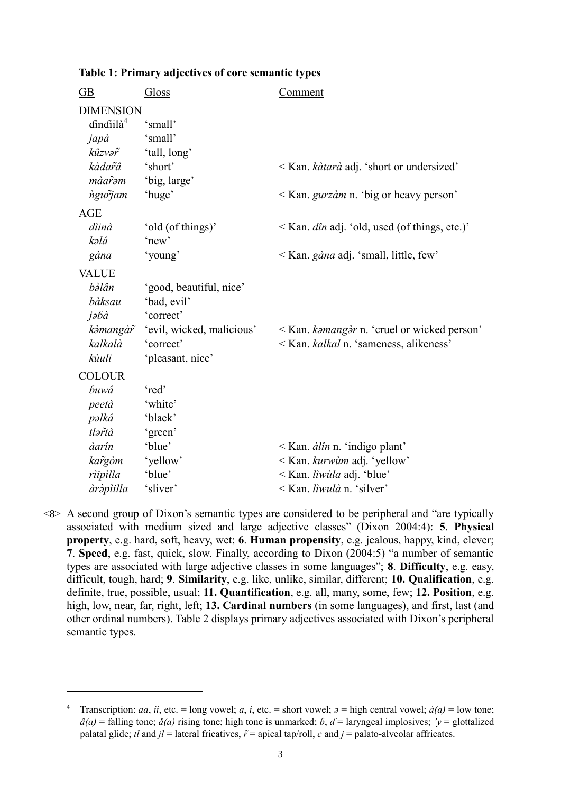| $\overline{GB}$                           | Gloss                     | <b>Comment</b>                                       |
|-------------------------------------------|---------------------------|------------------------------------------------------|
| <b>DIMENSION</b><br>dindiilà <sup>4</sup> | 'small'                   |                                                      |
| japà                                      | 'small'                   |                                                      |
| kûzvər                                    | 'tall, long'              |                                                      |
| kàdar̃â                                   | 'short'                   | < Kan. <i>kàtarà</i> adj. 'short or undersized'      |
| màarəm                                    | 'big, large'              |                                                      |
| ngurjam                                   | 'huge'                    | $\leq$ Kan. <i>gurzàm</i> n. 'big or heavy person'   |
| <b>AGE</b>                                |                           |                                                      |
| dìinà                                     | 'old (of things)'         | < Kan. <i>dîn</i> adj. 'old, used (of things, etc.)' |
| kəlâ                                      | 'new'                     |                                                      |
| gàna                                      | 'young'                   | < Kan. gàna adj. 'small, little, few'                |
| <b>VALUE</b>                              |                           |                                                      |
| bàlân                                     | 'good, beautiful, nice'   |                                                      |
| bàksau                                    | 'bad, evil'               |                                                      |
| jəbà                                      | 'correct'                 |                                                      |
| kàmangàr                                  | 'evil, wicked, malicious' | < Kan. kamangar n. 'cruel or wicked person'          |
| kalkalà                                   | 'correct'                 | < Kan. kalkal n. 'sameness, alikeness'               |
| kùuli                                     | 'pleasant, nice'          |                                                      |
| <b>COLOUR</b>                             |                           |                                                      |
| buwâ                                      | 'red'                     |                                                      |
| peetà                                     | 'white'                   |                                                      |
| pəlkâ                                     | 'black'                   |                                                      |
| tlərtà                                    | 'green'                   |                                                      |
| àarîn                                     | 'blue'                    | $\leq$ Kan. <i>àlîn</i> n. 'indigo plant'            |
| kargòm                                    | 'yellow'                  | < Kan. kurwum adj. 'yellow'                          |
| rìipìlla                                  | 'blue'                    | < Kan. liwula adj. 'blue'                            |
| àràpìilla                                 | 'sliver'                  | < Kan. liwulà n. 'silver'                            |

**Table 1: Primary adjectives of core semantic types**

<8> A second group of Dixon's semantic types are considered to be peripheral and "are typically associated with medium sized and large adjective classes" (Dixon 2004:4): **5**. **Physical property**, e.g. hard, soft, heavy, wet; **6**. **Human propensity**, e.g. jealous, happy, kind, clever; **7**. **Speed**, e.g. fast, quick, slow. Finally, according to Dixon (2004:5) "a number of semantic types are associated with large adjective classes in some languages"; **8**. **Difficulty**, e.g. easy, difficult, tough, hard; **9**. **Similarity**, e.g. like, unlike, similar, different; **10. Qualification**, e.g. definite, true, possible, usual; **11. Quantification**, e.g. all, many, some, few; **12. Position**, e.g. high, low, near, far, right, left; **13. Cardinal numbers** (in some languages), and first, last (and other ordinal numbers). Table 2 displays primary adjectives associated with Dixon's peripheral semantic types.

<sup>&</sup>lt;sup>4</sup> Transcription: *aa*, *ii*, etc. = long vowel; *a*, *i*, etc. = short vowel;  $\partial = \text{high central vowel}; \, \dot{a}(a) = \text{low tone};$  $\hat{a}(a)$  = falling tone;  $\check{a}(a)$  rising tone; high tone is unmarked; *b*,  $d$  = laryngeal implosives; *'v* = glottalized palatal glide; *tl* and  $jl$  = lateral fricatives,  $\tilde{r}$  = apical tap/roll, *c* and  $j$  = palato-alveolar affricates.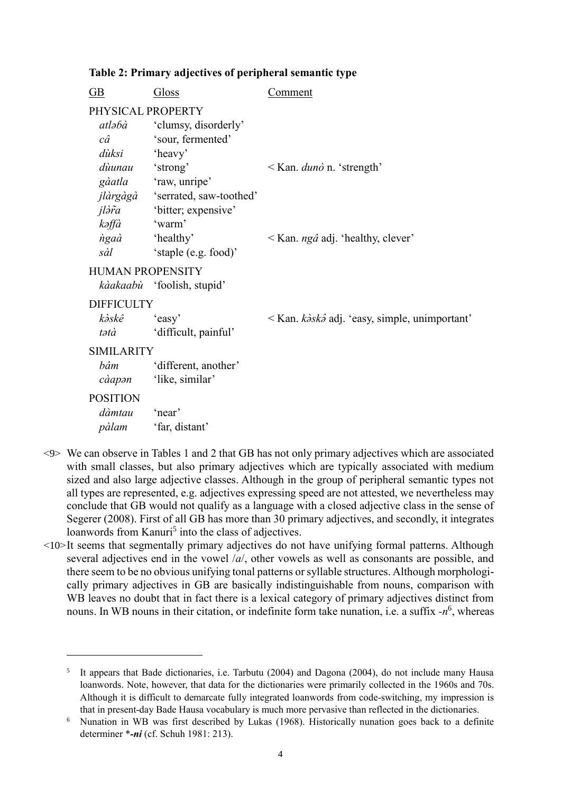## **Table 2: Primary adjectives of peripheral semantic type**

| $\underline{\text{GB}}$ | Gloss                              | Comment                                               |
|-------------------------|------------------------------------|-------------------------------------------------------|
| PHYSICAL PROPERTY       |                                    |                                                       |
|                         | <i>atlabà</i> 'clumsy, disorderly' |                                                       |
| $c\hat{a}$              | 'sour, fermented'                  |                                                       |
| dùksi                   | 'heavy'                            |                                                       |
| dùunau 'strong'         |                                    | $\leq$ Kan. <i>duno</i> n. 'strength'                 |
|                         | <i>gàatla</i> 'raw, unripe'        |                                                       |
|                         | jlàrgàgà 'serrated, saw-toothed'   |                                                       |
|                         | <i>jlàr̃a</i> bitter; expensive'   |                                                       |
| kəffà                   | 'warm'                             |                                                       |
| <i>ngaa</i> 'healthy'   |                                    | $\leq$ Kan. <i>ngâ</i> adj. 'healthy, clever'         |
| sàl                     | 'staple (e.g. food)'               |                                                       |
| <b>HUMAN PROPENSITY</b> |                                    |                                                       |
|                         | kàakaabù 'foolish, stupid'         |                                                       |
| <b>DIFFICULTY</b>       |                                    |                                                       |
| kàskê 'easy'            |                                    | < Kan. k <i>àskâ</i> adj. 'easy, simple, unimportant' |
| tətà                    | 'difficult, painful'               |                                                       |
| <b>SIMILARITY</b>       |                                    |                                                       |
| bâm                     | 'different, another'               |                                                       |
| càapən                  | 'like, similar'                    |                                                       |
| <b>POSITION</b>         |                                    |                                                       |
| dàmtau                  | 'near'                             |                                                       |
| pàlam                   | 'far, distant'                     |                                                       |
|                         |                                    |                                                       |

- <9> We can observe in Tables 1 and 2 that GB has not only primary adjectives which are associated with small classes, but also primary adjectives which are typically associated with medium sized and also large adjective classes. Although in the group of peripheral semantic types not all types are represented, e.g. adjectives expressing speed are not attested, we nevertheless may conclude that GB would not qualify as a language with a closed adjective class in the sense of Segerer (2008). First of all GB has more than 30 primary adjectives, and secondly, it integrates loanwords from Kanuri<sup>5</sup> into the class of adjectives.
- <10>It seems that segmentally primary adjectives do not have unifying formal patterns. Although several adjectives end in the vowel /*a*/, other vowels as well as consonants are possible, and there seem to be no obvious unifying tonal patterns or syllable structures. Although morphologically primary adjectives in GB are basically indistinguishable from nouns, comparison with WB leaves no doubt that in fact there is a lexical category of primary adjectives distinct from nouns. In WB nouns in their citation, or indefinite form take nunation, i.e. a suffix  $-n^6$ , whereas

<sup>5</sup> It appears that Bade dictionaries, i.e. Tarbutu (2004) and Dagona (2004), do not include many Hausa loanwords. Note, however, that data for the dictionaries were primarily collected in the 1960s and 70s. Although it is difficult to demarcate fully integrated loanwords from code-switching, my impression is that in present-day Bade Hausa vocabulary is much more pervasive than reflected in the dictionaries.

<sup>6</sup> Nunation in WB was first described by Lukas (1968). Historically nunation goes back to a definite determiner \**-ni* (cf. Schuh 1981: 213).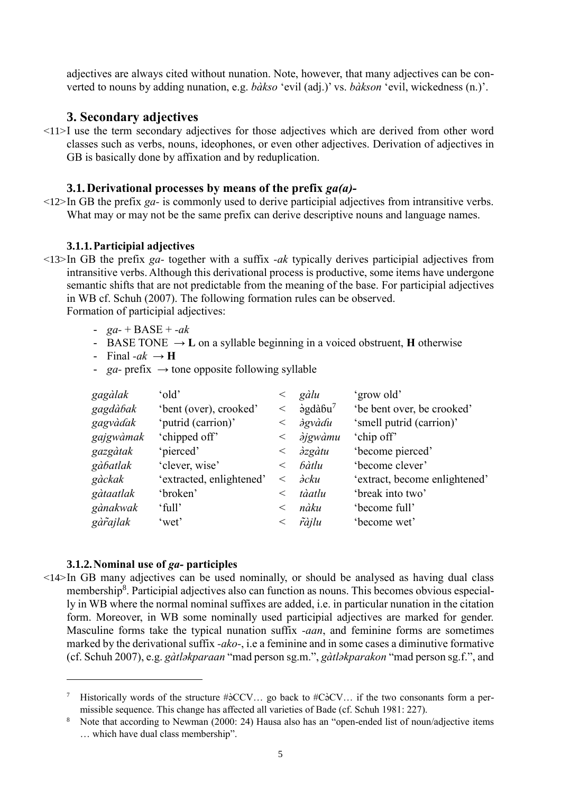adjectives are always cited without nunation. Note, however, that many adjectives can be converted to nouns by adding nunation, e.g. *bàkso* 'evil (adj.)' vs. *bàkson* 'evil, wickedness (n.)'.

# **3. Secondary adjectives**

<11>I use the term secondary adjectives for those adjectives which are derived from other word classes such as verbs, nouns, ideophones, or even other adjectives. Derivation of adjectives in GB is basically done by affixation and by reduplication.

# **3.1.Derivational processes by means of the prefix** *ga(a)-*

<12>In GB the prefix *ga-* is commonly used to derive participial adjectives from intransitive verbs. What may or may not be the same prefix can derive descriptive nouns and language names.

## **3.1.1.Participial adjectives**

- <13>In GB the prefix *ga-* together with a suffix *-ak* typically derives participial adjectives from intransitive verbs. Although this derivational process is productive, some items have undergone semantic shifts that are not predictable from the meaning of the base. For participial adjectives in WB cf. Schuh (2007). The following formation rules can be observed. Formation of participial adjectives:
	- *ga-* + BASE + *-ak*
	- BASE TONE  $\rightarrow$  **L** on a syllable beginning in a voiced obstruent, **H** otherwise
	- Final  $-ak \rightarrow H$
	- *ga* prefix  $\rightarrow$  tone opposite following syllable

| gagàlak   | 'old'                    |         | gàlu                                | 'grow old'                    |
|-----------|--------------------------|---------|-------------------------------------|-------------------------------|
| gagdàbak  | 'bent (over), crooked'   | $\,<\,$ | $\dot{\theta}$ gdà $6u^7$           | 'be bent over, be crooked'    |
| gagvàdak  | 'putrid (carrion)'       | $\,<\,$ | <i>dgvàdu</i>                       | 'smell putrid (carrion)'      |
| gajgwàmak | 'chipped off'            | $\,<\,$ | <i><b>àjgwàmu</b></i>               | 'chip off'                    |
| gazgàtak  | 'pierced'                | $\,<\,$ | $\partial zg\partial t\overline{u}$ | 'become pierced'              |
| gàbatlak  | 'clever, wise'           | $\,<\,$ | bàtlu                               | 'become clever'               |
| gàckak    | 'extracted, enlightened' | $\,<\,$ | ә̀ски                               | 'extract, become enlightened' |
| gàtaatlak | 'broken'                 | $\,<\,$ | tàatlu                              | 'break into two'              |
| gànakwak  | 'full'                   | $\,<\,$ | nàku                                | 'become full'                 |
| gàrajlak  | 'wet'                    | $\,<\,$ | ràjlu                               | 'become wet'                  |
|           |                          |         |                                     |                               |

## **3.1.2.Nominal use of** *ga-* **participles**

1

<14>In GB many adjectives can be used nominally, or should be analysed as having dual class membership<sup>8</sup>. Participial adjectives also can function as nouns. This becomes obvious especially in WB where the normal nominal suffixes are added, i.e. in particular nunation in the citation form. Moreover, in WB some nominally used participial adjectives are marked for gender. Masculine forms take the typical nunation suffix *-aan*, and feminine forms are sometimes marked by the derivational suffix *-ako-*, i.e a feminine and in some cases a diminutive formative (cf. Schuh 2007), e.g. *gàtlǝkparaan* "mad person sg.m.", *gàtlǝkparakon* "mad person sg.f.", and

<sup>&</sup>lt;sup>7</sup> Historically words of the structure # $\partial$ CCV... go back to #C $\partial$ CV... if the two consonants form a permissible sequence. This change has affected all varieties of Bade (cf. Schuh 1981: 227).

Note that according to Newman (2000: 24) Hausa also has an "open-ended list of noun/adjective items … which have dual class membership".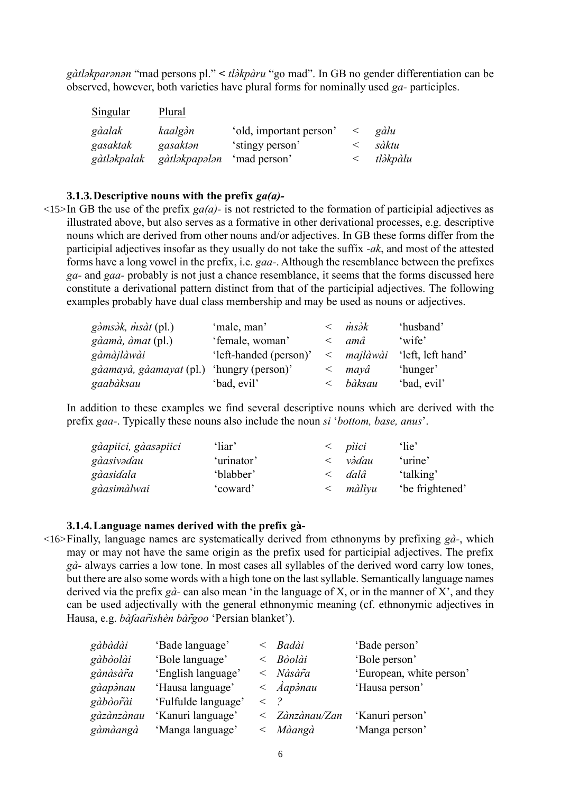g*àtlakparanan* "mad persons pl." < *tlàkpàru* "go mad". In GB no gender differentiation can be observed, however, both varieties have plural forms for nominally used *ga-* participles.

| Singular    | Plural        |                         |       |          |
|-------------|---------------|-------------------------|-------|----------|
| gàalak      | kaalgàn       | 'old, important person' | $\lt$ | gàlu     |
| gasaktak    | gasaktan      | 'stingy person'         |       | sàktu    |
| gàtləkpalak | gàtləkpapələn | 'mad person'            |       | tləkpàlu |

### **3.1.3.Descriptive nouns with the prefix** *ga(a)-*

 $\leq$ 15>In GB the use of the prefix *ga(a)*- is not restricted to the formation of participial adjectives as illustrated above, but also serves as a formative in other derivational processes, e.g. descriptive nouns which are derived from other nouns and/or adjectives. In GB these forms differ from the participial adjectives insofar as they usually do not take the suffix *-ak*, and most of the attested forms have a long vowel in the prefix, i.e. *gaa-*. Although the resemblance between the prefixes *ga-* and *gaa-* probably is not just a chance resemblance, it seems that the forms discussed here constitute a derivational pattern distinct from that of the participial adjectives. The following examples probably have dual class membership and may be used as nouns or adjectives.

| g <i>àmsàk</i> , <i>msàt</i> (pl.) | 'male, man'            | msək     | 'husband'         |
|------------------------------------|------------------------|----------|-------------------|
| gàamà, àmat (pl.)                  | 'female, woman'        | amâ      | 'wife'            |
| gàmàjlàwài                         | 'left-handed (person)' | majlàwài | 'left, left hand' |
| gàamayà, gàamayat (pl.)            | 'hungry (person)'      | mayâ     | 'hunger'          |
| gaabàksau                          | 'bad, evil'            | bàksau   | 'bad, evil'       |

In addition to these examples we find several descriptive nouns which are derived with the prefix *gaa-*. Typically these nouns also include the noun *si* '*bottom, base, anus*'.

| gàapiici, gàasapiici | 'liar'     | pìici  | 'lie'           |
|----------------------|------------|--------|-----------------|
| gàasivədau           | 'urinator' | vədau  | 'urine'         |
| gàasidala            | 'blabber'  | dalâ   | 'talking'       |
| gàasimàlwai          | 'coward'   | màlìyu | 'be frightened' |

#### **3.1.4.Language names derived with the prefix gà-**

<16>Finally, language names are systematically derived from ethnonyms by prefixing *gà-*, which may or may not have the same origin as the prefix used for participial adjectives. The prefix *gà-* always carries a low tone. In most cases all syllables of the derived word carry low tones, but there are also some words with a high tone on the last syllable. Semantically language names derived via the prefix *gà-* can also mean 'in the language of X, or in the manner of X', and they can be used adjectivally with the general ethnonymic meaning (cf. ethnonymic adjectives in Hausa, e.g. *bàfaarĩshèn bàrg̃oo* 'Persian blanket').

| gàbàdài    | 'Bade language'     |             | Badài                            | 'Bade person'            |
|------------|---------------------|-------------|----------------------------------|--------------------------|
| gàbòolài   | 'Bole language'     |             | Bòolài                           | 'Bole person'            |
| gànàsàra   | 'English language'  |             | Nàsàra                           | 'European, white person' |
| gàapànau   | 'Hausa language'    |             | $\langle \rangle$ <i>Aapònau</i> | 'Hausa person'           |
| gàbòorài   | 'Fulfulde language' | $\langle$ 2 |                                  |                          |
| gàzànzànau | 'Kanuri language'   |             | $\langle$ Zànzànau/Zan           | 'Kanuri person'          |
| gàmàangà   | 'Manga language'    |             | Màangà                           | 'Manga person'           |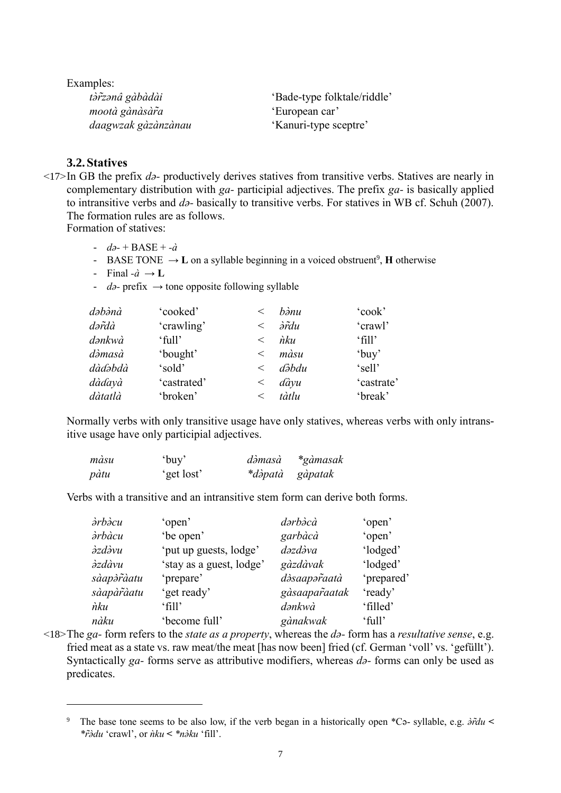Examples: *tàr̃zanâ* gàbàdài 'Bade-type folktale/riddle'<br>mootà gànàsàr̃a ''European car' *mootà gànàsàr̃a daagwzak gàzànzànau* 'Kanuri-type sceptre'

## **3.2.Statives**

1

<17>In GB the prefix *dǝ-* productively derives statives from transitive verbs. Statives are nearly in complementary distribution with *ga-* participial adjectives. The prefix *ga-* is basically applied to intransitive verbs and *dǝ-* basically to transitive verbs. For statives in WB cf. Schuh (2007). The formation rules are as follows.

Formation of statives:

- *dǝ-* + BASE + *-à*
- **BASE TONE**  $\rightarrow$  **L** on a syllable beginning in a voiced obstruent<sup>9</sup>, **H** otherwise
- Final  $-\hat{a} \rightarrow L$
- *dǝ-* prefix → tone opposite following syllable

| dəbənà  | 'cooked'    | $\,<\,$ | bànu               | 'cook'                      |
|---------|-------------|---------|--------------------|-----------------------------|
| dərdà   | 'crawling'  | $\lt$   | <i><b>àrdu</b></i> | 'crawl'                     |
| dənkwà  | 'full'      | $\lt$   | nku                | $\lceil \text{fill} \rceil$ |
| dàmasà  | 'bought'    | $\,<\,$ | màsu               | 'buy'                       |
| dàdəbdà | 'sold'      | $\lt$   | dəbdu              | 'sell'                      |
| dàdayà  | 'castrated' | $\,<\,$ | dàyu               | 'castrate'                  |
| dàtatlà | 'broken'    | $\,<\,$ | tàtlu              | 'break'                     |

Normally verbs with only transitive usage have only statives, whereas verbs with only intransitive usage have only participial adjectives.

| màsu | ʻbuy'      | dəmasa | *gàmasak        |
|------|------------|--------|-----------------|
| pàtu | 'get lost' |        | *dàpatà gàpatak |

Verbs with a transitive and an intransitive stem form can derive both forms.

| àrbàcu        | 'open'                   | dərbəcà       | 'open'     |
|---------------|--------------------------|---------------|------------|
| àrbàcu        | 'be open'                | garbàcà       | 'open'     |
| <i>àzdàvu</i> | 'put up guests, lodge'   | dəzdəva       | 'lodged'   |
| ə̀zdàvu       | 'stay as a guest, lodge' | gàzdàvak      | 'lodged'   |
| sàapòràatu    | 'prepare'                | dàsaaparaatà  | 'prepared' |
| sàapàr̃àatu   | 'get ready'              | gàsaaparaatak | 'ready'    |
| ѝku           | ʻfill'                   | dənkwà        | 'filled'   |
| nàku          | 'become full'            | gànakwak      | 'full'     |

<18>The *ga-* form refers to the *state as a property*, whereas the *dǝ-* form has a *resultative sense*, e.g. fried meat as a state vs. raw meat/the meat [has now been] fried (cf. German 'voll' vs. 'gefüllt'). Syntactically *ga*- forms serve as attributive modifiers, whereas *d*<sub>2</sub>- forms can only be used as predicates.

<sup>&</sup>lt;sup>9</sup> The base tone seems to be also low, if the verb began in a historically open \*Cǝ- syllable, e.g.  $\frac{\partial \hat{r}}{\partial u}$  < *\*rǝ̃̀du* 'crawl', or *ǹku* **<** *\*nǝ̀ku* 'fill'.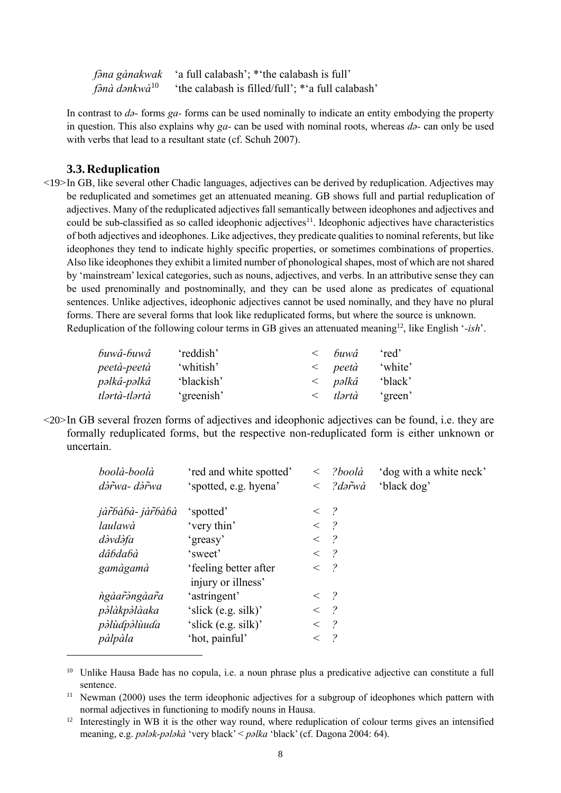*f��na gànakwak* 'a full calabash'; \*'the calabash is full' *fǝ̀nà dǝnkwà* 'the calabash is filled/full'; \*'a full calabash'

In contrast to *d*<sub>2</sub>-forms *ga*-forms can be used nominally to indicate an entity embodying the property in question. This also explains why *ga-* can be used with nominal roots, whereas *dǝ-* can only be used with verbs that lead to a resultant state (cf. Schuh 2007).

### **3.3.Reduplication**

1

<19>In GB, like several other Chadic languages, adjectives can be derived by reduplication. Adjectives may be reduplicated and sometimes get an attenuated meaning. GB shows full and partial reduplication of adjectives. Many of the reduplicated adjectives fall semantically between ideophones and adjectives and could be sub-classified as so called ideophonic adjectives<sup>11</sup>. Ideophonic adjectives have characteristics of both adjectives and ideophones. Like adjectives, they predicate qualities to nominal referents, but like ideophones they tend to indicate highly specific properties, or sometimes combinations of properties. Also like ideophones they exhibit a limited number of phonological shapes, most of which are not shared by 'mainstream' lexical categories, such as nouns, adjectives, and verbs. In an attributive sense they can be used prenominally and postnominally, and they can be used alone as predicates of equational sentences. Unlike adjectives, ideophonic adjectives cannot be used nominally, and they have no plural forms. There are several forms that look like reduplicated forms, but where the source is unknown. Reduplication of the following colour terms in GB gives an attenuated meaning<sup>12</sup>, like English '*-ish*'.

| buwâ-buwâ     | 'reddish'  | $\lt$ | buwâ            | red'    |
|---------------|------------|-------|-----------------|---------|
| peetà-peetà   | 'whitish'  | $\lt$ | peetà           | 'white' |
| pəlkâ-pəlkâ   | 'blackish' |       | $\langle$ pəlkâ | 'black' |
| tlərtà-tlərtà | 'greenish' |       | tlərtà          | 'green' |

<20>In GB several frozen forms of adjectives and ideophonic adjectives can be found, i.e. they are formally reduplicated forms, but the respective non-reduplicated form is either unknown or uncertain.

| boolà-boolà<br>dàrwa-dàrwa | 'red and white spotted'<br>'spotted, e.g. hyena' | $\,<\,$<br>$\lt$ | ?boolà<br>?dərwà | 'dog with a white neck'<br>'black dog' |
|----------------------------|--------------------------------------------------|------------------|------------------|----------------------------------------|
|                            |                                                  |                  |                  |                                        |
| jàr̃bàbà- jàr̃bàbà         | 'spotted'                                        | $\lt$            | $\overline{?}$   |                                        |
| laulawà                    | 'very thin'                                      | $\lt$            | $\gamma$         |                                        |
| dàvdàfa                    | 'greasy'                                         | $\lt$            | $\gamma$         |                                        |
| dâbdabà                    | 'sweet'                                          | $\lt$            | $\gamma$         |                                        |
| gamàgamà                   | feeling better after                             | $\,<\,$          | $\mathcal{P}$    |                                        |
|                            | injury or illness'                               |                  |                  |                                        |
| ngaarangaara               | 'astringent'                                     | $\lt$            | $\overline{?}$   |                                        |
| pòlàkpòlàaka               | 'slick $(e.g. silk)'$                            | $\,<\,$          | $\mathcal{P}$    |                                        |
| pàlùdpàlùuda               | 'slick (e.g. silk)'                              | $\lt$            | $\gamma$         |                                        |
| pàlpàla                    | 'hot, painful'                                   | $\,<\,$          | $\mathcal{P}$    |                                        |
|                            |                                                  |                  |                  |                                        |

<sup>&</sup>lt;sup>10</sup> Unlike Hausa Bade has no copula, i.e. a noun phrase plus a predicative adjective can constitute a full sentence.

<sup>&</sup>lt;sup>11</sup> Newman (2000) uses the term ideophonic adjectives for a subgroup of ideophones which pattern with normal adjectives in functioning to modify nouns in Hausa.

<sup>&</sup>lt;sup>12</sup> Interestingly in WB it is the other way round, where reduplication of colour terms gives an intensified meaning, e.g. *pǝlǝk-pǝlǝkà* 'very black' < *pǝlka* 'black' (cf. Dagona 2004: 64).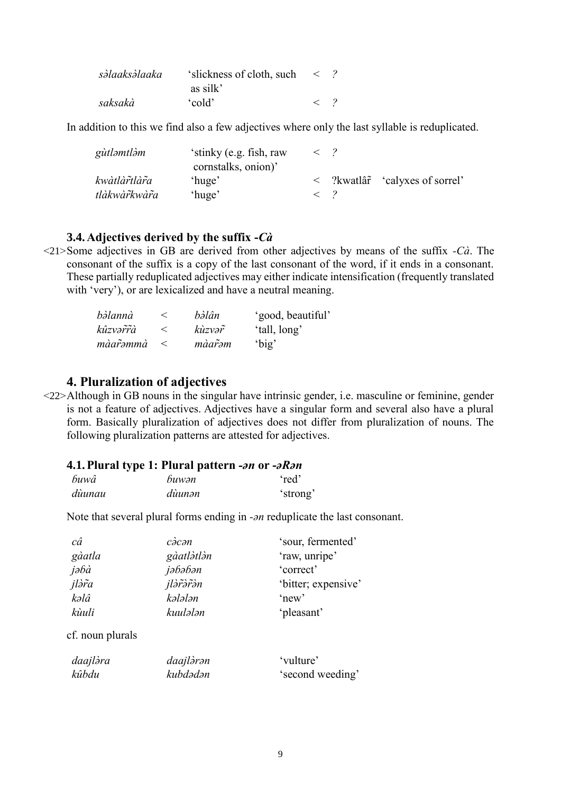| səlaaksəlaaka | 'slickness of cloth, such |  |
|---------------|---------------------------|--|
|               | as silk'                  |  |
| saksakà       | 'cold'                    |  |

In addition to this we find also a few adjectives where only the last syllable is reduplicated.

| gùtləmtləm     | 'stinky (e.g. fish, raw<br>cornstalks, onion)' |  |                                        |
|----------------|------------------------------------------------|--|----------------------------------------|
| kwàtlàr̃tlàr̃a | 'huge'                                         |  | $\langle$ ?kwatlâr 'calyxes of sorrel' |
| tlàkwàrkwàra   | 'huge'                                         |  |                                        |

### **3.4.Adjectives derived by the suffix -***Cà*

<21>Some adjectives in GB are derived from other adjectives by means of the suffix *-Cà*. The consonant of the suffix is a copy of the last consonant of the word, if it ends in a consonant. These partially reduplicated adjectives may either indicate intensification (frequently translated with 'very'), or are lexicalized and have a neutral meaning.

| bàlannà  |       | bàlân  | 'good, beautiful' |
|----------|-------|--------|-------------------|
| kûzvərrà |       | kùzvər | 'tall, long'      |
| màarommà | $\lt$ | màarəm | 'big'             |

## **4. Pluralization of adjectives**

<22>Although in GB nouns in the singular have intrinsic gender, i.e. masculine or feminine, gender is not a feature of adjectives. Adjectives have a singular form and several also have a plural form. Basically pluralization of adjectives does not differ from pluralization of nouns. The following pluralization patterns are attested for adjectives.

# **4.1.Plural type 1: Plural pattern** *-ǝn* **or -***ǝRǝn*

| buwâ   | buwən  | 'red'    |
|--------|--------|----------|
| dùunau | dùunən | 'strong' |

Note that several plural forms ending in *-an* reduplicate the last consonant.

| câ               | càcan      | 'sour, fermented'   |
|------------------|------------|---------------------|
| gàatla           | gàatlàtlàn | 'raw, unripe'       |
| jəbà             | jəbəbən    | 'correct'           |
| jlàra            | jlərərən   | 'bitter; expensive' |
| kəlâ             | kələlən    | 'new'               |
| kùuli            | kuulələn   | 'pleasant'          |
| cf. noun plurals |            |                     |
| daajlàra         | daajlàrən  | 'vulture'           |
| kûbdu            | kubdədən   | 'second weeding'    |
|                  |            |                     |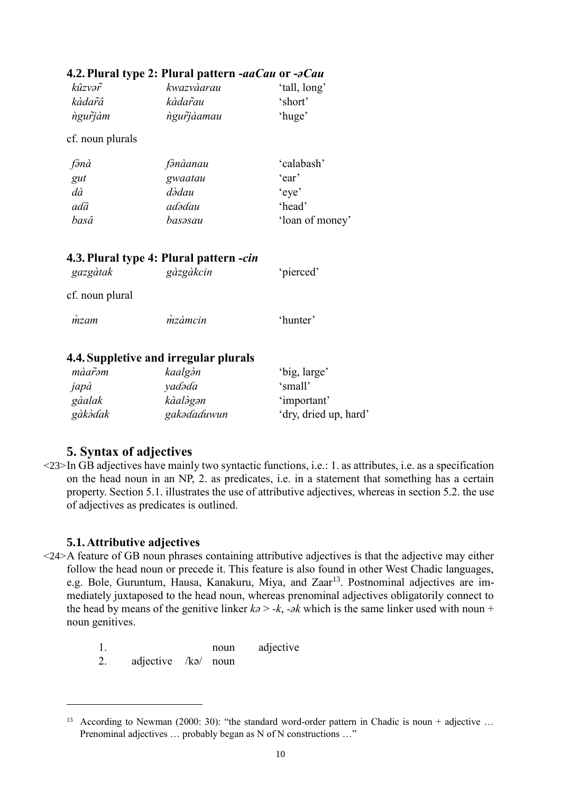|                  | ня патагурся. патаградсти <i>шести от осин</i> |                 |
|------------------|------------------------------------------------|-----------------|
| kûzvər           | kwazvàarau                                     | 'tall, long'    |
| kàdar̃â          | kàdar̃au                                       | 'short'         |
| ngurjàm          | ngurjaamau                                     | 'huge'          |
| cf. noun plurals |                                                |                 |
| fənà             | fənàanau                                       | 'calabash'      |
| gut              | gwaatau                                        | 'ear'           |
| dà               | dədau                                          | 'eye'           |
| adâ              | adədau                                         | 'head'          |
| basâ             | basəsau                                        | 'loan of money' |
|                  | 4.3. Plural type 4: Plural pattern -cin        |                 |
| gazgàtak         | gàzgàkcin                                      | 'pierced'       |
| cf. noun plural  |                                                |                 |
| mzam             | mzàmcin                                        | 'hunter'        |
|                  |                                                |                 |
|                  |                                                |                 |

# **4.2.Plural type 2: Plural pattern -***aaCau* **or -***ǝCau*

# **4.4.Suppletive and irregular plurals**

| màarəm  | kaalgàn     | 'big, large'          |
|---------|-------------|-----------------------|
| japà    | yadəda      | 'small'               |
| gàalak  | kàalàgən    | 'important'           |
| gàkàdak | gakədaduwun | 'dry, dried up, hard' |

# **5. Syntax of adjectives**

<23>In GB adjectives have mainly two syntactic functions, i.e.: 1. as attributes, i.e. as a specification on the head noun in an NP, 2. as predicates, i.e. in a statement that something has a certain property. Section 5.1. illustrates the use of attributive adjectives, whereas in section 5.2. the use of adjectives as predicates is outlined.

# **5.1.Attributive adjectives**

- <24>A feature of GB noun phrases containing attributive adjectives is that the adjective may either follow the head noun or precede it. This feature is also found in other West Chadic languages, e.g. Bole, Guruntum, Hausa, Kanakuru, Miya, and Zaar<sup>13</sup>. Postnominal adjectives are immediately juxtaposed to the head noun, whereas prenominal adjectives obligatorily connect to the head by means of the genitive linker  $k\partial > -k$ ,  $-\partial k$  which is the same linker used with noun + noun genitives.
	- 1. noun adjective
	- 2. adjective /kǝ/ noun

<sup>&</sup>lt;sup>13</sup> According to Newman (2000: 30): "the standard word-order pattern in Chadic is noun + adjective ... Prenominal adjectives ... probably began as N of N constructions ..."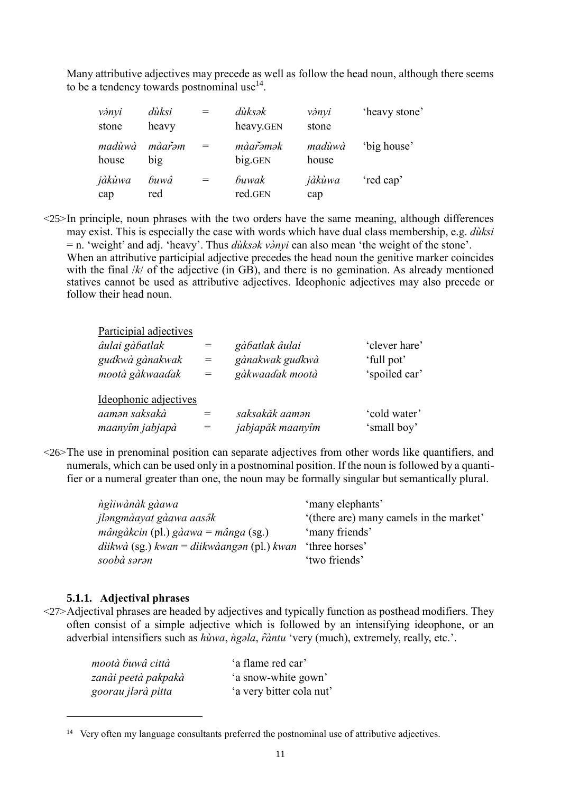Many attributive adjectives may precede as well as follow the head noun, although there seems to be a tendency towards postnominal use $^{14}$ .

| vànyi<br>stone  | dùksi<br>heavy | $=$ | dùksək<br>heavy.GEN | vànyi<br>stone  | 'heavy stone' |
|-----------------|----------------|-----|---------------------|-----------------|---------------|
| madùwà<br>house | màarom<br>big  | $=$ | màarəmək<br>big.GEN | madùwà<br>house | 'big house'   |
| jàkùwa<br>cap   | buwâ<br>red    | $=$ | buwak<br>red.GEN    | jàkùwa<br>cap   | 'red cap'     |

 $\langle 25 \rangle$ In principle, noun phrases with the two orders have the same meaning, although differences may exist. This is especially the case with words which have dual class membership, e.g. *dùksi* = n. 'weight' and adj. 'heavy'. Thus *dùksak vànvi* can also mean 'the weight of the stone'. When an attributive participial adjective precedes the head noun the genitive marker coincides with the final  $/k$  of the adjective (in GB), and there is no gemination. As already mentioned statives cannot be used as attributive adjectives. Ideophonic adjectives may also precede or follow their head noun.

| Participial adjectives<br>âulai gàbatlak<br>gudkwà gànakwak<br>mootà gàkwaadak | $=$<br>$=$<br>$=$ | gàbatlak âulai<br>gànakwak gudkwà<br>gàkwaadak mootà | 'clever hare'<br>'full pot'<br>'spoiled car' |
|--------------------------------------------------------------------------------|-------------------|------------------------------------------------------|----------------------------------------------|
| Ideophonic adjectives<br>aaman saksakà<br>maanyîm jabjapà                      |                   | saksakăk aaman<br>jabjapăk maanyîm                   | 'cold water'<br>'small boy'                  |

<26>The use in prenominal position can separate adjectives from other words like quantifiers, and numerals, which can be used only in a postnominal position. If the noun is followed by a quantifier or a numeral greater than one, the noun may be formally singular but semantically plural.

| ngiiwànàk gàawa                              | 'many elephants'                        |
|----------------------------------------------|-----------------------------------------|
| jləngmàayat gàawa aasətk                     | '(there are) many camels in the market' |
| $m\hat{a}$ ngàkcin (pl.) gàawa = mânga (sg.) | 'many friends'                          |
| diikwà (sg.) kwan = diikwàangan (pl.) kwan   | 'three horses'                          |
| soobà sərən                                  | 'two friends'                           |

### **5.1.1. Adjectival phrases**

1

<27>Adjectival phrases are headed by adjectives and typically function as posthead modifiers. They often consist of a simple adjective which is followed by an intensifying ideophone, or an adverbial intensifiers such as *hùwa*, *ngala*, *r̃àntu* 'very (much), extremely, really, etc.'.

| mootà buwâ città    | 'a flame red car'        |
|---------------------|--------------------------|
| zanài peetà pakpakà | 'a snow-white gown'      |
| goorau jlərà pitta  | 'a very bitter cola nut' |

<sup>&</sup>lt;sup>14</sup> Very often my language consultants preferred the postnominal use of attributive adjectives.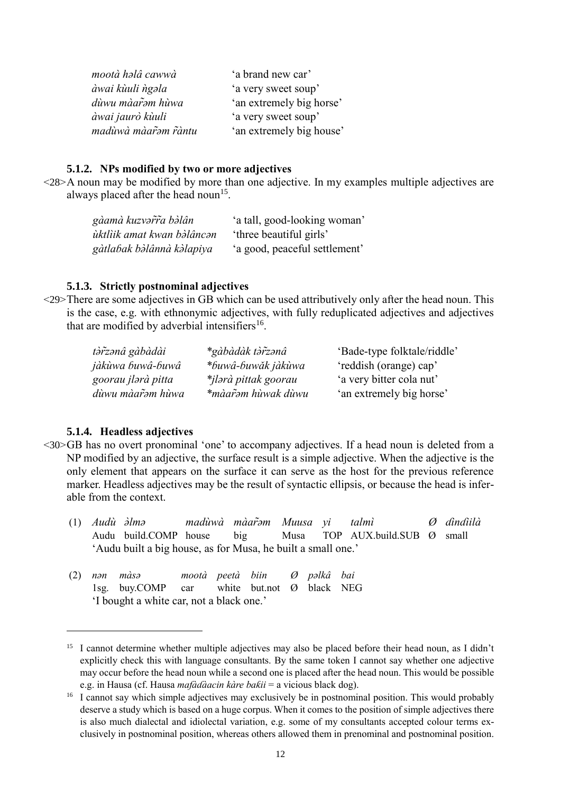| mootà halâ cawwà      | 'a brand new car'        |
|-----------------------|--------------------------|
| àwai kùuli ngala      | 'a very sweet soup'      |
| dùwu màar̃əm hùwa     | 'an extremely big horse' |
| àwai jaurò kùuli      | 'a very sweet soup'      |
| madùwà màar̃əm r̃àntu | 'an extremely big house' |

### **5.1.2. NPs modified by two or more adjectives**

<28>A noun may be modified by more than one adjective. In my examples multiple adjectives are always placed after the head noun $15$ .

| gàamà kuzvərta bəlân       | 'a tall, good-looking woman'  |
|----------------------------|-------------------------------|
| ùktlìik amat kwan bòlâncən | 'three beautiful girls'       |
| gàtlabak bàlânnà kàlapiya  | 'a good, peaceful settlement' |

### **5.1.3. Strictly postnominal adjectives**

<29>There are some adjectives in GB which can be used attributively only after the head noun. This is the case, e.g. with ethnonymic adjectives, with fully reduplicated adjectives and adjectives that are modified by adverbial intensifiers<sup>16</sup>.

| tàr̃zanâ gàbàdài   | *gàbàdàk tàr̃zanâ    | 'Bade-type folktale/riddle' |
|--------------------|----------------------|-----------------------------|
| jàkùwa buwâ-buwâ   | *buwâ-buwăk jàkùwa   | 'reddish (orange) cap'      |
| goorau jlərà pitta | *jlərà pittak goorau | 'a very bitter cola nut'    |
| dùwu màar̃əm hùwa  | *màar̃əm hùwak dùwu  | 'an extremely big horse'    |

#### **5.1.4. Headless adjectives**

- <30>GB has no overt pronominal 'one' to accompany adjectives. If a head noun is deleted from a NP modified by an adjective, the surface result is a simple adjective. When the adjective is the only element that appears on the surface it can serve as the host for the previous reference marker. Headless adjectives may be the result of syntactic ellipsis, or because the head is inferable from the context.
	- (1) *Audù <i>*∂lmə madùn<br>Audu build.COMP house *lmǝ madùwà màarǝ̃m Muusa yi talmì Ø ɗinɗiilà* big Musa TOP  $AUX$ .build.SUB  $\emptyset$  small 'Audu built a big house, as for Musa, he built a small one.'

|  | $(2)$ nən màsə                                        |  | mootà peetà biin <i>O</i> palkâ bai |  |  |
|--|-------------------------------------------------------|--|-------------------------------------|--|--|
|  | 1sg. buy.COMP car white but.not $\emptyset$ black NEG |  |                                     |  |  |
|  | 'I bought a white car, not a black one.'              |  |                                     |  |  |

<sup>&</sup>lt;sup>15</sup> I cannot determine whether multiple adjectives may also be placed before their head noun, as I didn't explicitly check this with language consultants. By the same token I cannot say whether one adjective may occur before the head noun while a second one is placed after the head noun. This would be possible e.g. in Hausa (cf. Hausa *mafàɗàacin kàre baƙii* = a vicious black dog).

<sup>&</sup>lt;sup>16</sup> I cannot say which simple adjectives may exclusively be in postnominal position. This would probably deserve a study which is based on a huge corpus. When it comes to the position of simple adjectives there is also much dialectal and idiolectal variation, e.g. some of my consultants accepted colour terms exclusively in postnominal position, whereas others allowed them in prenominal and postnominal position.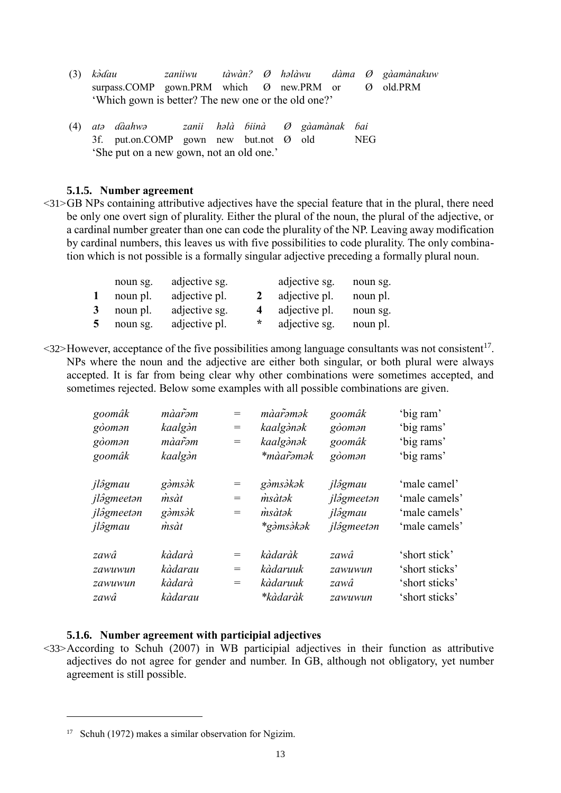- (3) *kǝ̀ɗau zaniiwu tàwàn? Ø hǝlàwu dàma Ø gàamànakuw* surpass.COMP gown.PRM which  $\emptyset$  new.PRM or  $\emptyset$ 'Which gown is better? The new one or the old one?'
- (4) *atǝ ɗàahwǝ zanii hǝlà ɓiinà Ø gàamànak ɓai* 3f. put.on.COMP gown new but.not Ø old NEG 'She put on a new gown, not an old one.'

### **5.1.5. Number agreement**

 $\langle 31 \rangle$ GB NPs containing attributive adjectives have the special feature that in the plural, there need be only one overt sign of plurality. Either the plural of the noun, the plural of the adjective, or a cardinal number greater than one can code the plurality of the NP. Leaving away modification by cardinal numbers, this leaves us with five possibilities to code plurality. The only combination which is not possible is a formally singular adjective preceding a formally plural noun.

|   | noun sg. | adjective sg. |                | adjective sg. | noun sg. |
|---|----------|---------------|----------------|---------------|----------|
|   | noun pl. | adjective pl. | $\mathcal{L}$  | adjective pl. | noun pl. |
| 3 | noun pl. | adjective sg. | $\overline{4}$ | adjective pl. | noun sg. |
| 5 | noun sg. | adjective pl. | $\star$        | adjective sg. | noun pl. |

 $\leq$ 32>However, acceptance of the five possibilities among language consultants was not consistent<sup>17</sup>. NPs where the noun and the adjective are either both singular, or both plural were always accepted. It is far from being clear why other combinations were sometimes accepted, and sometimes rejected. Below some examples with all possible combinations are given.

| màarəm        | $=$                               | màarəmək   | goomâk         | 'big ram'      |
|---------------|-----------------------------------|------------|----------------|----------------|
| kaalgàn       | $\hspace{1.6cm} = \hspace{1.6cm}$ | kaalgànək  | $g\delta$ oman | 'big rams'     |
| màar̃əm       | $=$                               | kaalgànək  | goomâk         | 'big rams'     |
| kaalgàn       |                                   | *màar̃əmək | $g\delta$ oman | 'big rams'     |
| gàmsàk        | $=$                               | gàmsàkak   | jlâgmau        | 'male camel'   |
| $\dot{m}$ sàt | $=$                               | msàtək     | jlâgmeetan     | 'male camels'  |
| gàmsàk        | $=$                               | msàtək     | jlâgmau        | 'male camels'  |
| msàt          |                                   | *gàmsàkək  | jlâgmeetan     | 'male camels'  |
| kàdarà        | $=$                               | kàdaràk    | zawâ           | 'short stick'  |
| kàdarau       | $=$                               | kàdaruuk   | zawuwun        | 'short sticks' |
| kàdarà        | $=$                               | kàdaruuk   | zawâ           | 'short sticks' |
| kàdarau       |                                   | *kàdaràk   | zawuwun        | 'short sticks' |
|               |                                   |            |                |                |

## **5.1.6. Number agreement with participial adjectives**

<33>According to Schuh (2007) in WB participial adjectives in their function as attributive adjectives do not agree for gender and number. In GB, although not obligatory, yet number agreement is still possible.

<sup>17</sup> Schuh (1972) makes a similar observation for Ngizim.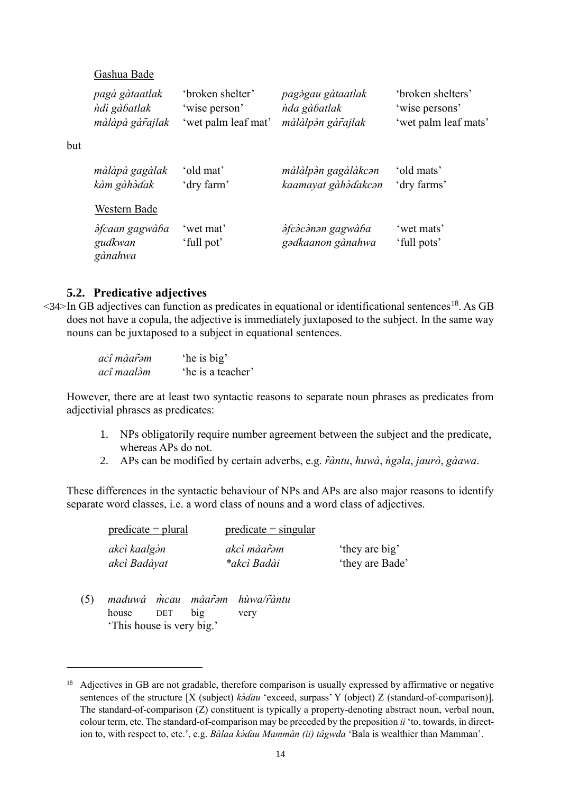Gashua Bade

but

1

| pagà gàtaatlak                              | 'broken shelter'        | pagàgau gàtaatlak                             | 'broken shelters'         |
|---------------------------------------------|-------------------------|-----------------------------------------------|---------------------------|
| ndi gàbatlak                                | 'wise person'           | nda gàbatlak                                  | 'wise persons'            |
| màlàpà gàrajlak                             | 'wet palm leaf mat'     | màlàlpàn gàrajlak                             | 'wet palm leaf mats'      |
| màlàpà gagàlak                              | 'old mat'               | màlàlpàn gagàlàkcan                           | 'old mats'                |
| kàm gàhàdak                                 | 'dry farm'              | kaamayat gàhàdakcan                           | 'dry farms'               |
| Western Bade                                |                         |                                               |                           |
| <i>dfcaan gagwàba</i><br>gudkwan<br>gànahwa | 'wet mat'<br>'full pot' | <i>dfcàcànan gagwàba</i><br>gadkaanon gànahwa | 'wet mats'<br>'full pots' |

## **5.2. Predicative adjectives**

 $\leq$ 34>In GB adjectives can function as predicates in equational or identificational sentences<sup>18</sup>. As GB does not have a copula, the adjective is immediately juxtaposed to the subject. In the same way nouns can be juxtaposed to a subject in equational sentences.

| acî màar̃əm | 'he is big'       |
|-------------|-------------------|
| acî maalàm  | 'he is a teacher' |

However, there are at least two syntactic reasons to separate noun phrases as predicates from adjectivial phrases as predicates:

- 1. NPs obligatorily require number agreement between the subject and the predicate, whereas APs do not.
- 2. APs can be modified by certain adverbs, e.g. *r̃àntu*, *huwà*, *ṅg*əla, *jaurò*, *gàawa*.

These differences in the syntactic behaviour of NPs and APs are also major reasons to identify separate word classes, i.e. a word class of nouns and a word class of adjectives.

| $predicate = plural$ | $predicate = singular$ |                 |
|----------------------|------------------------|-----------------|
| akcì kaalgàn         | akcì màar̃əm           | 'they are big'  |
| akcì Badàyat         | *akcì Badài            | 'they are Bade' |

(5) *maduwà m̀cau màar̃əm hùwa/r̃àntu* house DET big very house 'This house is very big.'

<sup>&</sup>lt;sup>18</sup> Adjectives in GB are not gradable, therefore comparison is usually expressed by affirmative or negative sentences of the structure [X (subject)  $k\partial G \hat{d}au$  'exceed, surpass' Y (object) Z (standard-of-comparison)]. The standard-of-comparison (Z) constituent is typically a property-denoting abstract noun, verbal noun, colour term, etc. The standard-of-comparison may be preceded by the preposition *ii* 'to, towards, in direction to, with respect to, etc.', e.g. *Bàlaa kòdau Mammàn (ii) tâgwda* 'Bala is wealthier than Mamman'.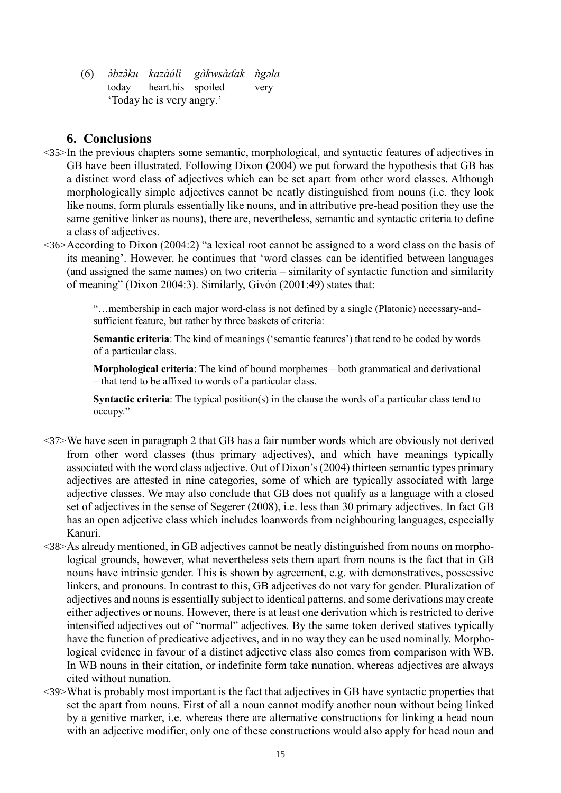(6) *ǝ̀bzǝ̀ku kazàálì gàkwsàɗak ǹgǝla* heart.his spoiled 'Today he is very angry.'

# **6. Conclusions**

- $\langle 35 \rangle$ In the previous chapters some semantic, morphological, and syntactic features of adjectives in GB have been illustrated. Following Dixon (2004) we put forward the hypothesis that GB has a distinct word class of adjectives which can be set apart from other word classes. Although morphologically simple adjectives cannot be neatly distinguished from nouns (i.e. they look like nouns, form plurals essentially like nouns, and in attributive pre-head position they use the same genitive linker as nouns), there are, nevertheless, semantic and syntactic criteria to define a class of adjectives.
- <36>According to Dixon (2004:2) "a lexical root cannot be assigned to a word class on the basis of its meaning'. However, he continues that 'word classes can be identified between languages (and assigned the same names) on two criteria – similarity of syntactic function and similarity of meaning" (Dixon 2004:3). Similarly, Givón (2001:49) states that:

"…membership in each major word-class is not defined by a single (Platonic) necessary-andsufficient feature, but rather by three baskets of criteria:

**Semantic criteria**: The kind of meanings ('semantic features') that tend to be coded by words of a particular class.

**Morphological criteria**: The kind of bound morphemes – both grammatical and derivational – that tend to be affixed to words of a particular class.

**Syntactic criteria**: The typical position(s) in the clause the words of a particular class tend to occupy."

- <37>We have seen in paragraph 2 that GB has a fair number words which are obviously not derived from other word classes (thus primary adjectives), and which have meanings typically associated with the word class adjective. Out of Dixon's (2004) thirteen semantic types primary adjectives are attested in nine categories, some of which are typically associated with large adjective classes. We may also conclude that GB does not qualify as a language with a closed set of adjectives in the sense of Segerer (2008), i.e. less than 30 primary adjectives. In fact GB has an open adjective class which includes loanwords from neighbouring languages, especially Kanuri.
- <38>As already mentioned, in GB adjectives cannot be neatly distinguished from nouns on morphological grounds, however, what nevertheless sets them apart from nouns is the fact that in GB nouns have intrinsic gender. This is shown by agreement, e.g. with demonstratives, possessive linkers, and pronouns. In contrast to this, GB adjectives do not vary for gender. Pluralization of adjectives and nouns is essentially subject to identical patterns, and some derivations may create either adjectives or nouns. However, there is at least one derivation which is restricted to derive intensified adjectives out of "normal" adjectives. By the same token derived statives typically have the function of predicative adjectives, and in no way they can be used nominally. Morphological evidence in favour of a distinct adjective class also comes from comparison with WB. In WB nouns in their citation, or indefinite form take nunation, whereas adjectives are always cited without nunation.
- <39>What is probably most important is the fact that adjectives in GB have syntactic properties that set the apart from nouns. First of all a noun cannot modify another noun without being linked by a genitive marker, i.e. whereas there are alternative constructions for linking a head noun with an adjective modifier, only one of these constructions would also apply for head noun and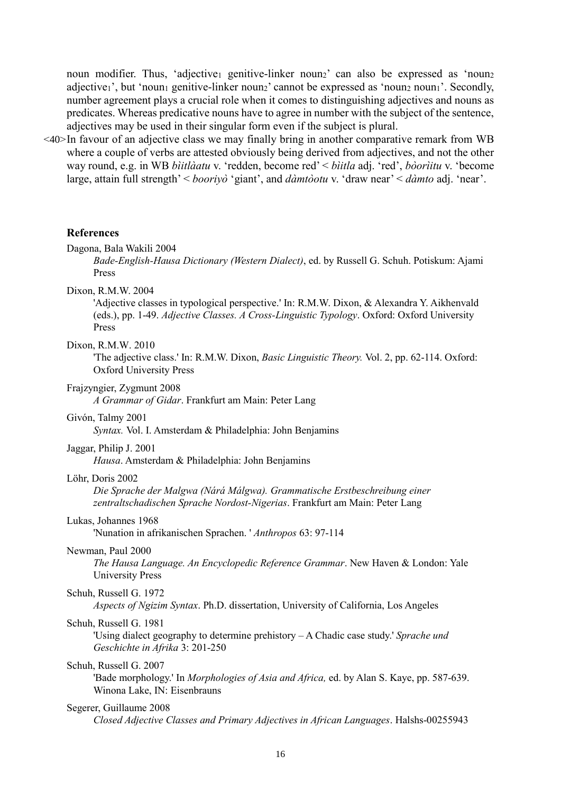noun modifier. Thus, 'adjective<sub>1</sub> genitive-linker noun<sub>2</sub>' can also be expressed as 'noun<sub>2</sub> adjective<sub>1</sub>', but 'noun<sub>1</sub> genitive-linker noun<sub>2</sub>' cannot be expressed as 'noun<sub>2</sub> noun<sub>1</sub>'. Secondly, number agreement plays a crucial role when it comes to distinguishing adjectives and nouns as predicates. Whereas predicative nouns have to agree in number with the subject of the sentence, adjectives may be used in their singular form even if the subject is plural.

<40>In favour of an adjective class we may finally bring in another comparative remark from WB where a couple of verbs are attested obviously being derived from adjectives, and not the other way round, e.g. in WB *bìitlàatu* v. 'redden, become red' < *bìitla* adj. 'red', *bòorìitu* v. 'become large, attain full strength' < *booriyò* 'giant', and *dàmtòotu* v. 'draw near' < *dàmto* adj. 'near'.

#### **References**

#### Dagona, Bala Wakili 2004

*Bade-English-Hausa Dictionary (Western Dialect)*, ed. by Russell G. Schuh. Potiskum: Ajami Press

Dixon, R.M.W. 2004

'Adjective classes in typological perspective.' In: R.M.W. Dixon, & Alexandra Y. Aikhenvald (eds.), pp. 1-49. *Adjective Classes. A Cross-Linguistic Typology*. Oxford: Oxford University Press

#### Dixon, R.M.W. 2010

'The adjective class.' In: R.M.W. Dixon, *Basic Linguistic Theory.* Vol. 2, pp. 62-114. Oxford: Oxford University Press

Frajzyngier, Zygmunt 2008

*A Grammar of Gidar*. Frankfurt am Main: Peter Lang

#### Givón, Talmy 2001

*Syntax.* Vol. I. Amsterdam & Philadelphia: John Benjamins

#### Jaggar, Philip J. 2001

*Hausa*. Amsterdam & Philadelphia: John Benjamins

#### Löhr, Doris 2002

*Die Sprache der Malgwa (Nárá Málgwa). Grammatische Erstbeschreibung einer zentraltschadischen Sprache Nordost-Nigerias*. Frankfurt am Main: Peter Lang

### Lukas, Johannes 1968

'Nunation in afrikanischen Sprachen. ' *Anthropos* 63: 97-114

### Newman, Paul 2000

*The Hausa Language. An Encyclopedic Reference Grammar*. New Haven & London: Yale University Press

### Schuh, Russell G. 1972

*Aspects of Ngizim Syntax*. Ph.D. dissertation, University of California, Los Angeles

#### Schuh, Russell G. 1981

'Using dialect geography to determine prehistory – A Chadic case study.' *Sprache und Geschichte in Afrika* 3: 201-250

### Schuh, Russell G. 2007

'Bade morphology.' In *Morphologies of Asia and Africa,* ed. by Alan S. Kaye, pp. 587-639. Winona Lake, IN: Eisenbrauns

#### Segerer, Guillaume 2008

*Closed Adjective Classes and Primary Adjectives in African Languages*. Halshs-00255943